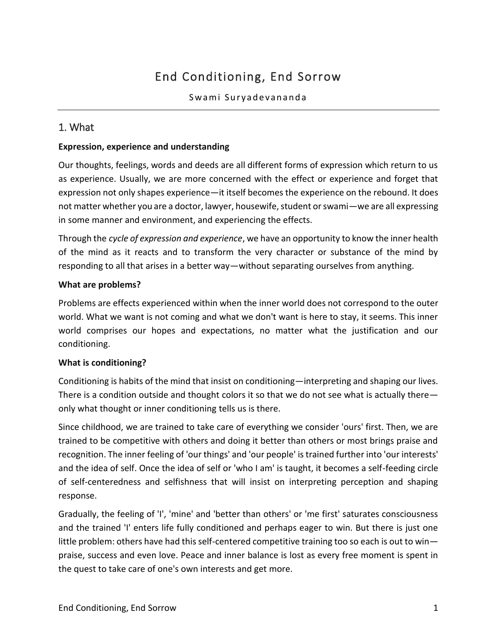# End Conditioning, End Sorrow

## 1. What

#### **Expression, experience and understanding**

Our thoughts, feelings, words and deeds are all different forms of expression which return to us as experience. Usually, we are more concerned with the effect or experience and forget that expression not only shapes experience—it itself becomes the experience on the rebound. It does not matter whether you are a doctor, lawyer, housewife, student or swami—we are all expressing in some manner and environment, and experiencing the effects.

Through the *cycle of expression and experience*, we have an opportunity to know the inner health of the mind as it reacts and to transform the very character or substance of the mind by responding to all that arises in a better way—without separating ourselves from anything.

#### **What are problems?**

Problems are effects experienced within when the inner world does not correspond to the outer world. What we want is not coming and what we don't want is here to stay, it seems. This inner world comprises our hopes and expectations, no matter what the justification and our conditioning.

#### **What is conditioning?**

Conditioning is habits of the mind that insist on conditioning—interpreting and shaping our lives. There is a condition outside and thought colors it so that we do not see what is actually there only what thought or inner conditioning tells us is there.

Since childhood, we are trained to take care of everything we consider 'ours' first. Then, we are trained to be competitive with others and doing it better than others or most brings praise and recognition. The inner feeling of 'our things' and 'our people' is trained further into 'our interests' and the idea of self. Once the idea of self or 'who I am' is taught, it becomes a self-feeding circle of self-centeredness and selfishness that will insist on interpreting perception and shaping response.

Gradually, the feeling of 'I', 'mine' and 'better than others' or 'me first' saturates consciousness and the trained 'I' enters life fully conditioned and perhaps eager to win. But there is just one little problem: others have had this self-centered competitive training too so each is out to win praise, success and even love. Peace and inner balance is lost as every free moment is spent in the quest to take care of one's own interests and get more.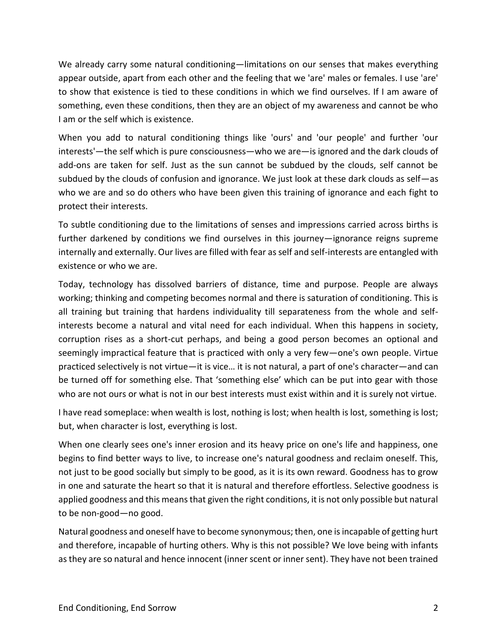We already carry some natural conditioning—limitations on our senses that makes everything appear outside, apart from each other and the feeling that we 'are' males or females. I use 'are' to show that existence is tied to these conditions in which we find ourselves. If I am aware of something, even these conditions, then they are an object of my awareness and cannot be who I am or the self which is existence.

When you add to natural conditioning things like 'ours' and 'our people' and further 'our interests'—the self which is pure consciousness—who we are—is ignored and the dark clouds of add-ons are taken for self. Just as the sun cannot be subdued by the clouds, self cannot be subdued by the clouds of confusion and ignorance. We just look at these dark clouds as self—as who we are and so do others who have been given this training of ignorance and each fight to protect their interests.

To subtle conditioning due to the limitations of senses and impressions carried across births is further darkened by conditions we find ourselves in this journey—ignorance reigns supreme internally and externally. Our lives are filled with fear as self and self-interests are entangled with existence or who we are.

Today, technology has dissolved barriers of distance, time and purpose. People are always working; thinking and competing becomes normal and there is saturation of conditioning. This is all training but training that hardens individuality till separateness from the whole and selfinterests become a natural and vital need for each individual. When this happens in society, corruption rises as a short-cut perhaps, and being a good person becomes an optional and seemingly impractical feature that is practiced with only a very few—one's own people. Virtue practiced selectively is not virtue—it is vice… it is not natural, a part of one's character—and can be turned off for something else. That 'something else' which can be put into gear with those who are not ours or what is not in our best interests must exist within and it is surely not virtue.

I have read someplace: when wealth is lost, nothing is lost; when health is lost, something is lost; but, when character is lost, everything is lost.

When one clearly sees one's inner erosion and its heavy price on one's life and happiness, one begins to find better ways to live, to increase one's natural goodness and reclaim oneself. This, not just to be good socially but simply to be good, as it is its own reward. Goodness has to grow in one and saturate the heart so that it is natural and therefore effortless. Selective goodness is applied goodness and this means that given the right conditions, it is not only possible but natural to be non-good—no good.

Natural goodness and oneself have to become synonymous; then, one is incapable of getting hurt and therefore, incapable of hurting others. Why is this not possible? We love being with infants as they are so natural and hence innocent (inner scent or inner sent). They have not been trained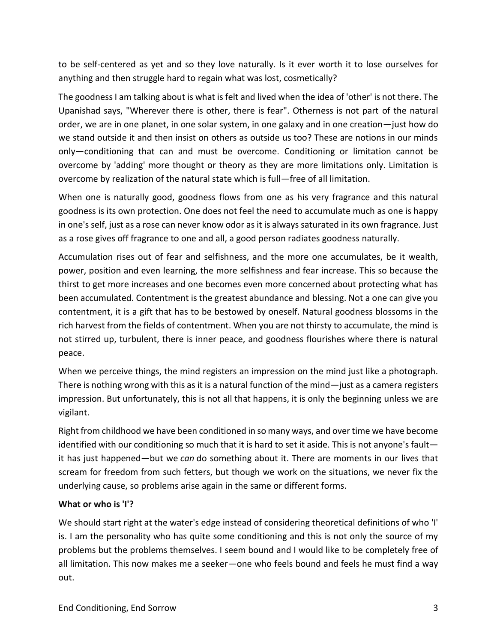to be self-centered as yet and so they love naturally. Is it ever worth it to lose ourselves for anything and then struggle hard to regain what was lost, cosmetically?

The goodness I am talking about is what is felt and lived when the idea of 'other' is not there. The Upanishad says, "Wherever there is other, there is fear". Otherness is not part of the natural order, we are in one planet, in one solar system, in one galaxy and in one creation—just how do we stand outside it and then insist on others as outside us too? These are notions in our minds only—conditioning that can and must be overcome. Conditioning or limitation cannot be overcome by 'adding' more thought or theory as they are more limitations only. Limitation is overcome by realization of the natural state which is full—free of all limitation.

When one is naturally good, goodness flows from one as his very fragrance and this natural goodness is its own protection. One does not feel the need to accumulate much as one is happy in one's self, just as a rose can never know odor as it is always saturated in its own fragrance. Just as a rose gives off fragrance to one and all, a good person radiates goodness naturally.

Accumulation rises out of fear and selfishness, and the more one accumulates, be it wealth, power, position and even learning, the more selfishness and fear increase. This so because the thirst to get more increases and one becomes even more concerned about protecting what has been accumulated. Contentment is the greatest abundance and blessing. Not a one can give you contentment, it is a gift that has to be bestowed by oneself. Natural goodness blossoms in the rich harvest from the fields of contentment. When you are not thirsty to accumulate, the mind is not stirred up, turbulent, there is inner peace, and goodness flourishes where there is natural peace.

When we perceive things, the mind registers an impression on the mind just like a photograph. There is nothing wrong with this as it is a natural function of the mind—just as a camera registers impression. But unfortunately, this is not all that happens, it is only the beginning unless we are vigilant.

Right from childhood we have been conditioned in so many ways, and over time we have become identified with our conditioning so much that it is hard to set it aside. This is not anyone's fault it has just happened—but we *can* do something about it. There are moments in our lives that scream for freedom from such fetters, but though we work on the situations, we never fix the underlying cause, so problems arise again in the same or different forms.

#### **What or who is 'I'?**

We should start right at the water's edge instead of considering theoretical definitions of who 'I' is. I am the personality who has quite some conditioning and this is not only the source of my problems but the problems themselves. I seem bound and I would like to be completely free of all limitation. This now makes me a seeker—one who feels bound and feels he must find a way out.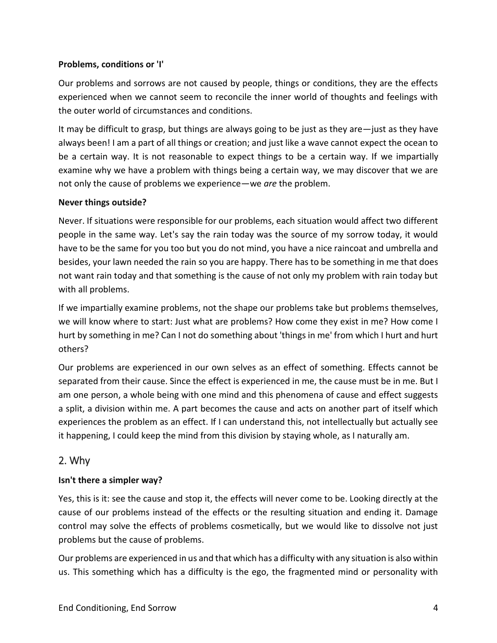#### **Problems, conditions or 'I'**

Our problems and sorrows are not caused by people, things or conditions, they are the effects experienced when we cannot seem to reconcile the inner world of thoughts and feelings with the outer world of circumstances and conditions.

It may be difficult to grasp, but things are always going to be just as they are—just as they have always been! I am a part of all things or creation; and just like a wave cannot expect the ocean to be a certain way. It is not reasonable to expect things to be a certain way. If we impartially examine why we have a problem with things being a certain way, we may discover that we are not only the cause of problems we experience—we *are* the problem.

#### **Never things outside?**

Never. If situations were responsible for our problems, each situation would affect two different people in the same way. Let's say the rain today was the source of my sorrow today, it would have to be the same for you too but you do not mind, you have a nice raincoat and umbrella and besides, your lawn needed the rain so you are happy. There has to be something in me that does not want rain today and that something is the cause of not only my problem with rain today but with all problems.

If we impartially examine problems, not the shape our problems take but problems themselves, we will know where to start: Just what are problems? How come they exist in me? How come I hurt by something in me? Can I not do something about 'things in me' from which I hurt and hurt others?

Our problems are experienced in our own selves as an effect of something. Effects cannot be separated from their cause. Since the effect is experienced in me, the cause must be in me. But I am one person, a whole being with one mind and this phenomena of cause and effect suggests a split, a division within me. A part becomes the cause and acts on another part of itself which experiences the problem as an effect. If I can understand this, not intellectually but actually see it happening, I could keep the mind from this division by staying whole, as I naturally am.

## 2. Why

#### **Isn't there a simpler way?**

Yes, this is it: see the cause and stop it, the effects will never come to be. Looking directly at the cause of our problems instead of the effects or the resulting situation and ending it. Damage control may solve the effects of problems cosmetically, but we would like to dissolve not just problems but the cause of problems.

Our problems are experienced in us and that which has a difficulty with any situation is also within us. This something which has a difficulty is the ego, the fragmented mind or personality with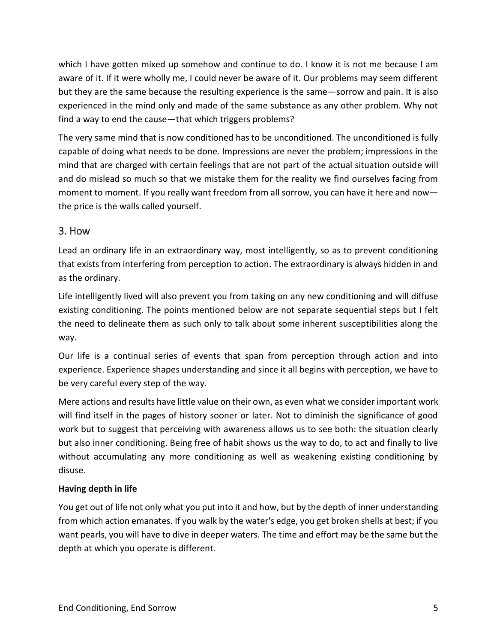which I have gotten mixed up somehow and continue to do. I know it is not me because I am aware of it. If it were wholly me, I could never be aware of it. Our problems may seem different but they are the same because the resulting experience is the same—sorrow and pain. It is also experienced in the mind only and made of the same substance as any other problem. Why not find a way to end the cause—that which triggers problems?

The very same mind that is now conditioned has to be unconditioned. The unconditioned is fully capable of doing what needs to be done. Impressions are never the problem; impressions in the mind that are charged with certain feelings that are not part of the actual situation outside will and do mislead so much so that we mistake them for the reality we find ourselves facing from moment to moment. If you really want freedom from all sorrow, you can have it here and now the price is the walls called yourself.

## 3. How

Lead an ordinary life in an extraordinary way, most intelligently, so as to prevent conditioning that exists from interfering from perception to action. The extraordinary is always hidden in and as the ordinary.

Life intelligently lived will also prevent you from taking on any new conditioning and will diffuse existing conditioning. The points mentioned below are not separate sequential steps but I felt the need to delineate them as such only to talk about some inherent susceptibilities along the way.

Our life is a continual series of events that span from perception through action and into experience. Experience shapes understanding and since it all begins with perception, we have to be very careful every step of the way.

Mere actions and results have little value on their own, as even what we consider important work will find itself in the pages of history sooner or later. Not to diminish the significance of good work but to suggest that perceiving with awareness allows us to see both: the situation clearly but also inner conditioning. Being free of habit shows us the way to do, to act and finally to live without accumulating any more conditioning as well as weakening existing conditioning by disuse.

#### **Having depth in life**

You get out of life not only what you put into it and how, but by the depth of inner understanding from which action emanates. If you walk by the water's edge, you get broken shells at best; if you want pearls, you will have to dive in deeper waters. The time and effort may be the same but the depth at which you operate is different.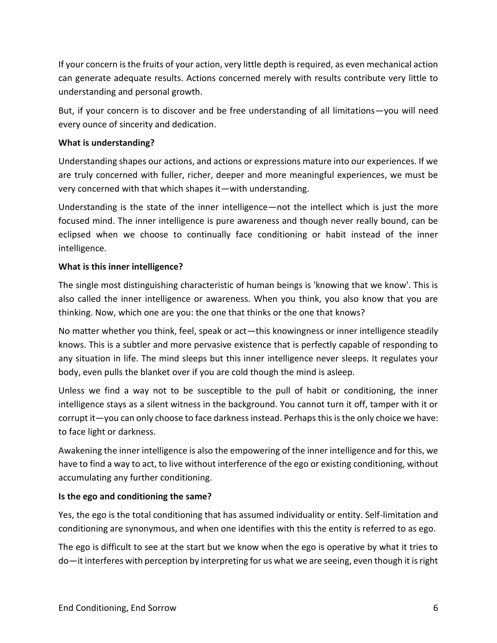If your concern is the fruits of your action, very little depth is required, as even mechanical action can generate adequate results. Actions concerned merely with results contribute very little to understanding and personal growth.

But, if your concern is to discover and be free understanding of all limitations—you will need every ounce of sincerity and dedication.

#### **What is understanding?**

Understanding shapes our actions, and actions or expressions mature into our experiences. If we are truly concerned with fuller, richer, deeper and more meaningful experiences, we must be very concerned with that which shapes it—with understanding.

Understanding is the state of the inner intelligence—not the intellect which is just the more focused mind. The inner intelligence is pure awareness and though never really bound, can be eclipsed when we choose to continually face conditioning or habit instead of the inner intelligence.

### **What is this inner intelligence?**

The single most distinguishing characteristic of human beings is 'knowing that we know'. This is also called the inner intelligence or awareness. When you think, you also know that you are thinking. Now, which one are you: the one that thinks or the one that knows?

No matter whether you think, feel, speak or act—this knowingness or inner intelligence steadily knows. This is a subtler and more pervasive existence that is perfectly capable of responding to any situation in life. The mind sleeps but this inner intelligence never sleeps. It regulates your body, even pulls the blanket over if you are cold though the mind is asleep.

Unless we find a way not to be susceptible to the pull of habit or conditioning, the inner intelligence stays as a silent witness in the background. You cannot turn it off, tamper with it or corrupt it—you can only choose to face darkness instead. Perhaps this is the only choice we have: to face light or darkness.

Awakening the inner intelligence is also the empowering of the inner intelligence and for this, we have to find a way to act, to live without interference of the ego or existing conditioning, without accumulating any further conditioning.

#### **Is the ego and conditioning the same?**

Yes, the ego is the total conditioning that has assumed individuality or entity. Self-limitation and conditioning are synonymous, and when one identifies with this the entity is referred to as ego.

The ego is difficult to see at the start but we know when the ego is operative by what it tries to do—it interferes with perception by interpreting for us what we are seeing, even though it is right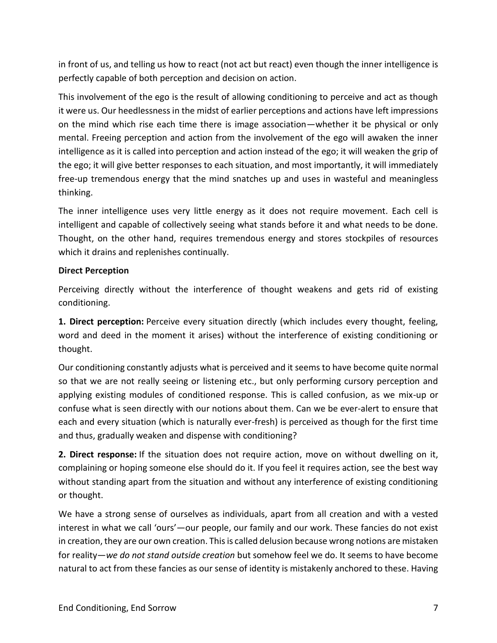in front of us, and telling us how to react (not act but react) even though the inner intelligence is perfectly capable of both perception and decision on action.

This involvement of the ego is the result of allowing conditioning to perceive and act as though it were us. Our heedlessness in the midst of earlier perceptions and actions have left impressions on the mind which rise each time there is image association—whether it be physical or only mental. Freeing perception and action from the involvement of the ego will awaken the inner intelligence as it is called into perception and action instead of the ego; it will weaken the grip of the ego; it will give better responses to each situation, and most importantly, it will immediately free-up tremendous energy that the mind snatches up and uses in wasteful and meaningless thinking.

The inner intelligence uses very little energy as it does not require movement. Each cell is intelligent and capable of collectively seeing what stands before it and what needs to be done. Thought, on the other hand, requires tremendous energy and stores stockpiles of resources which it drains and replenishes continually.

#### **Direct Perception**

Perceiving directly without the interference of thought weakens and gets rid of existing conditioning.

**1. Direct perception:** Perceive every situation directly (which includes every thought, feeling, word and deed in the moment it arises) without the interference of existing conditioning or thought.

Our conditioning constantly adjusts what is perceived and it seems to have become quite normal so that we are not really seeing or listening etc., but only performing cursory perception and applying existing modules of conditioned response. This is called confusion, as we mix-up or confuse what is seen directly with our notions about them. Can we be ever-alert to ensure that each and every situation (which is naturally ever-fresh) is perceived as though for the first time and thus, gradually weaken and dispense with conditioning?

**2. Direct response:** If the situation does not require action, move on without dwelling on it, complaining or hoping someone else should do it. If you feel it requires action, see the best way without standing apart from the situation and without any interference of existing conditioning or thought.

We have a strong sense of ourselves as individuals, apart from all creation and with a vested interest in what we call 'ours'—our people, our family and our work. These fancies do not exist in creation, they are our own creation. This is called delusion because wrong notions are mistaken for reality—*we do not stand outside creation* but somehow feel we do. It seems to have become natural to act from these fancies as our sense of identity is mistakenly anchored to these. Having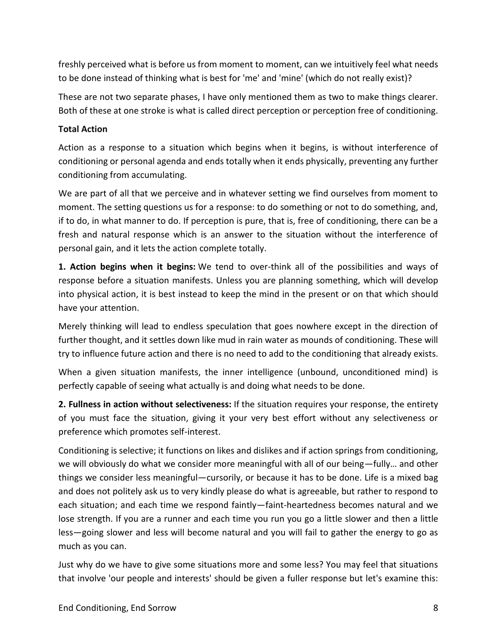freshly perceived what is before us from moment to moment, can we intuitively feel what needs to be done instead of thinking what is best for 'me' and 'mine' (which do not really exist)?

These are not two separate phases, I have only mentioned them as two to make things clearer. Both of these at one stroke is what is called direct perception or perception free of conditioning.

#### **Total Action**

Action as a response to a situation which begins when it begins, is without interference of conditioning or personal agenda and ends totally when it ends physically, preventing any further conditioning from accumulating.

We are part of all that we perceive and in whatever setting we find ourselves from moment to moment. The setting questions us for a response: to do something or not to do something, and, if to do, in what manner to do. If perception is pure, that is, free of conditioning, there can be a fresh and natural response which is an answer to the situation without the interference of personal gain, and it lets the action complete totally.

**1. Action begins when it begins:** We tend to over-think all of the possibilities and ways of response before a situation manifests. Unless you are planning something, which will develop into physical action, it is best instead to keep the mind in the present or on that which should have your attention.

Merely thinking will lead to endless speculation that goes nowhere except in the direction of further thought, and it settles down like mud in rain water as mounds of conditioning. These will try to influence future action and there is no need to add to the conditioning that already exists.

When a given situation manifests, the inner intelligence (unbound, unconditioned mind) is perfectly capable of seeing what actually is and doing what needs to be done.

**2. Fullness in action without selectiveness:** If the situation requires your response, the entirety of you must face the situation, giving it your very best effort without any selectiveness or preference which promotes self-interest.

Conditioning is selective; it functions on likes and dislikes and if action springs from conditioning, we will obviously do what we consider more meaningful with all of our being—fully… and other things we consider less meaningful—cursorily, or because it has to be done. Life is a mixed bag and does not politely ask us to very kindly please do what is agreeable, but rather to respond to each situation; and each time we respond faintly—faint-heartedness becomes natural and we lose strength. If you are a runner and each time you run you go a little slower and then a little less—going slower and less will become natural and you will fail to gather the energy to go as much as you can.

Just why do we have to give some situations more and some less? You may feel that situations that involve 'our people and interests' should be given a fuller response but let's examine this: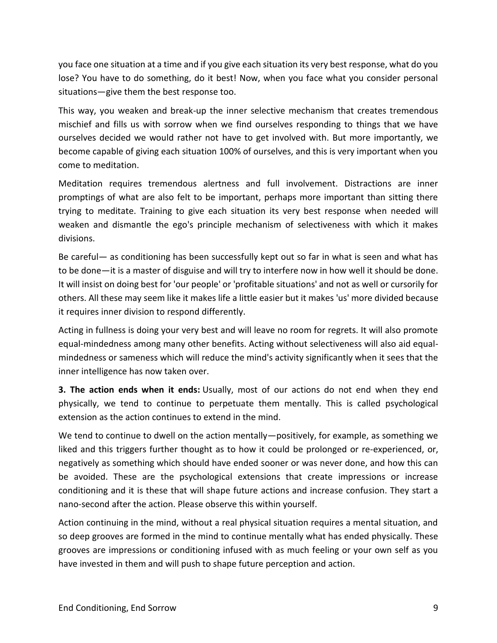you face one situation at a time and if you give each situation its very best response, what do you lose? You have to do something, do it best! Now, when you face what you consider personal situations—give them the best response too.

This way, you weaken and break-up the inner selective mechanism that creates tremendous mischief and fills us with sorrow when we find ourselves responding to things that we have ourselves decided we would rather not have to get involved with. But more importantly, we become capable of giving each situation 100% of ourselves, and this is very important when you come to meditation.

Meditation requires tremendous alertness and full involvement. Distractions are inner promptings of what are also felt to be important, perhaps more important than sitting there trying to meditate. Training to give each situation its very best response when needed will weaken and dismantle the ego's principle mechanism of selectiveness with which it makes divisions.

Be careful— as conditioning has been successfully kept out so far in what is seen and what has to be done—it is a master of disguise and will try to interfere now in how well it should be done. It will insist on doing best for 'our people' or 'profitable situations' and not as well or cursorily for others. All these may seem like it makes life a little easier but it makes 'us' more divided because it requires inner division to respond differently.

Acting in fullness is doing your very best and will leave no room for regrets. It will also promote equal-mindedness among many other benefits. Acting without selectiveness will also aid equalmindedness or sameness which will reduce the mind's activity significantly when it sees that the inner intelligence has now taken over.

**3. The action ends when it ends:** Usually, most of our actions do not end when they end physically, we tend to continue to perpetuate them mentally. This is called psychological extension as the action continues to extend in the mind.

We tend to continue to dwell on the action mentally—positively, for example, as something we liked and this triggers further thought as to how it could be prolonged or re-experienced, or, negatively as something which should have ended sooner or was never done, and how this can be avoided. These are the psychological extensions that create impressions or increase conditioning and it is these that will shape future actions and increase confusion. They start a nano-second after the action. Please observe this within yourself.

Action continuing in the mind, without a real physical situation requires a mental situation, and so deep grooves are formed in the mind to continue mentally what has ended physically. These grooves are impressions or conditioning infused with as much feeling or your own self as you have invested in them and will push to shape future perception and action.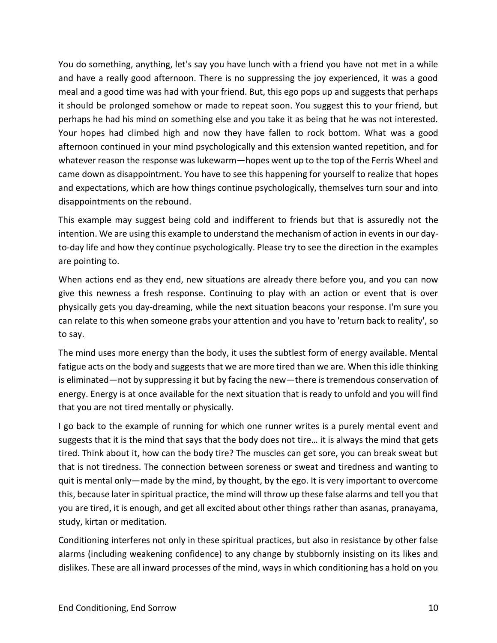You do something, anything, let's say you have lunch with a friend you have not met in a while and have a really good afternoon. There is no suppressing the joy experienced, it was a good meal and a good time was had with your friend. But, this ego pops up and suggests that perhaps it should be prolonged somehow or made to repeat soon. You suggest this to your friend, but perhaps he had his mind on something else and you take it as being that he was not interested. Your hopes had climbed high and now they have fallen to rock bottom. What was a good afternoon continued in your mind psychologically and this extension wanted repetition, and for whatever reason the response was lukewarm—hopes went up to the top of the Ferris Wheel and came down as disappointment. You have to see this happening for yourself to realize that hopes and expectations, which are how things continue psychologically, themselves turn sour and into disappointments on the rebound.

This example may suggest being cold and indifferent to friends but that is assuredly not the intention. We are using this example to understand the mechanism of action in events in our dayto-day life and how they continue psychologically. Please try to see the direction in the examples are pointing to.

When actions end as they end, new situations are already there before you, and you can now give this newness a fresh response. Continuing to play with an action or event that is over physically gets you day-dreaming, while the next situation beacons your response. I'm sure you can relate to this when someone grabs your attention and you have to 'return back to reality', so to say.

The mind uses more energy than the body, it uses the subtlest form of energy available. Mental fatigue acts on the body and suggests that we are more tired than we are. When this idle thinking is eliminated—not by suppressing it but by facing the new—there is tremendous conservation of energy. Energy is at once available for the next situation that is ready to unfold and you will find that you are not tired mentally or physically.

I go back to the example of running for which one runner writes is a purely mental event and suggests that it is the mind that says that the body does not tire… it is always the mind that gets tired. Think about it, how can the body tire? The muscles can get sore, you can break sweat but that is not tiredness. The connection between soreness or sweat and tiredness and wanting to quit is mental only—made by the mind, by thought, by the ego. It is very important to overcome this, because later in spiritual practice, the mind will throw up these false alarms and tell you that you are tired, it is enough, and get all excited about other things rather than asanas, pranayama, study, kirtan or meditation.

Conditioning interferes not only in these spiritual practices, but also in resistance by other false alarms (including weakening confidence) to any change by stubbornly insisting on its likes and dislikes. These are all inward processes of the mind, ways in which conditioning has a hold on you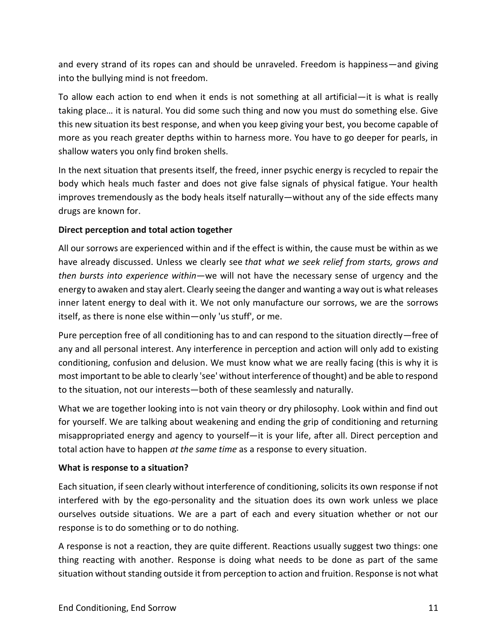and every strand of its ropes can and should be unraveled. Freedom is happiness—and giving into the bullying mind is not freedom.

To allow each action to end when it ends is not something at all artificial—it is what is really taking place… it is natural. You did some such thing and now you must do something else. Give this new situation its best response, and when you keep giving your best, you become capable of more as you reach greater depths within to harness more. You have to go deeper for pearls, in shallow waters you only find broken shells.

In the next situation that presents itself, the freed, inner psychic energy is recycled to repair the body which heals much faster and does not give false signals of physical fatigue. Your health improves tremendously as the body heals itself naturally—without any of the side effects many drugs are known for.

#### **Direct perception and total action together**

All our sorrows are experienced within and if the effect is within, the cause must be within as we have already discussed. Unless we clearly see *that what we seek relief from starts, grows and then bursts into experience within*—we will not have the necessary sense of urgency and the energy to awaken and stay alert. Clearly seeing the danger and wanting a way out is what releases inner latent energy to deal with it. We not only manufacture our sorrows, we are the sorrows itself, as there is none else within—only 'us stuff', or me.

Pure perception free of all conditioning has to and can respond to the situation directly—free of any and all personal interest. Any interference in perception and action will only add to existing conditioning, confusion and delusion. We must know what we are really facing (this is why it is most important to be able to clearly 'see' without interference of thought) and be able to respond to the situation, not our interests—both of these seamlessly and naturally.

What we are together looking into is not vain theory or dry philosophy. Look within and find out for yourself. We are talking about weakening and ending the grip of conditioning and returning misappropriated energy and agency to yourself—it is your life, after all. Direct perception and total action have to happen *at the same time* as a response to every situation.

#### **What is response to a situation?**

Each situation, if seen clearly without interference of conditioning, solicits its own response if not interfered with by the ego-personality and the situation does its own work unless we place ourselves outside situations. We are a part of each and every situation whether or not our response is to do something or to do nothing.

A response is not a reaction, they are quite different. Reactions usually suggest two things: one thing reacting with another. Response is doing what needs to be done as part of the same situation without standing outside it from perception to action and fruition. Response is not what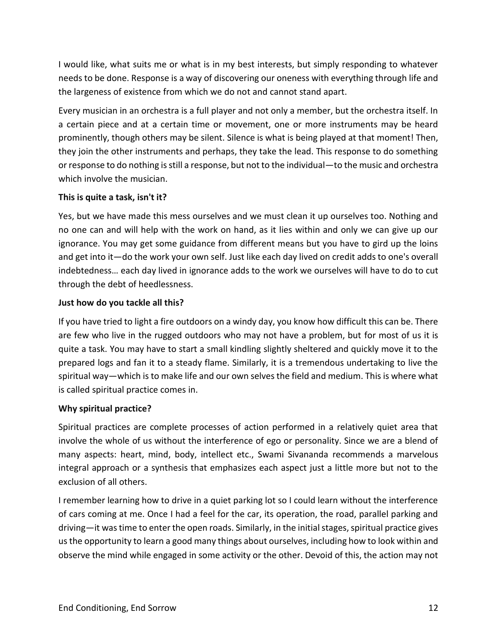I would like, what suits me or what is in my best interests, but simply responding to whatever needs to be done. Response is a way of discovering our oneness with everything through life and the largeness of existence from which we do not and cannot stand apart.

Every musician in an orchestra is a full player and not only a member, but the orchestra itself. In a certain piece and at a certain time or movement, one or more instruments may be heard prominently, though others may be silent. Silence is what is being played at that moment! Then, they join the other instruments and perhaps, they take the lead. This response to do something or response to do nothing is still a response, but not to the individual—to the music and orchestra which involve the musician.

#### **This is quite a task, isn't it?**

Yes, but we have made this mess ourselves and we must clean it up ourselves too. Nothing and no one can and will help with the work on hand, as it lies within and only we can give up our ignorance. You may get some guidance from different means but you have to gird up the loins and get into it—do the work your own self. Just like each day lived on credit adds to one's overall indebtedness… each day lived in ignorance adds to the work we ourselves will have to do to cut through the debt of heedlessness.

#### **Just how do you tackle all this?**

If you have tried to light a fire outdoors on a windy day, you know how difficult this can be. There are few who live in the rugged outdoors who may not have a problem, but for most of us it is quite a task. You may have to start a small kindling slightly sheltered and quickly move it to the prepared logs and fan it to a steady flame. Similarly, it is a tremendous undertaking to live the spiritual way—which is to make life and our own selves the field and medium. This is where what is called spiritual practice comes in.

## **Why spiritual practice?**

Spiritual practices are complete processes of action performed in a relatively quiet area that involve the whole of us without the interference of ego or personality. Since we are a blend of many aspects: heart, mind, body, intellect etc., Swami Sivananda recommends a marvelous integral approach or a synthesis that emphasizes each aspect just a little more but not to the exclusion of all others.

I remember learning how to drive in a quiet parking lot so I could learn without the interference of cars coming at me. Once I had a feel for the car, its operation, the road, parallel parking and driving—it was time to enter the open roads. Similarly, in the initial stages, spiritual practice gives us the opportunity to learn a good many things about ourselves, including how to look within and observe the mind while engaged in some activity or the other. Devoid of this, the action may not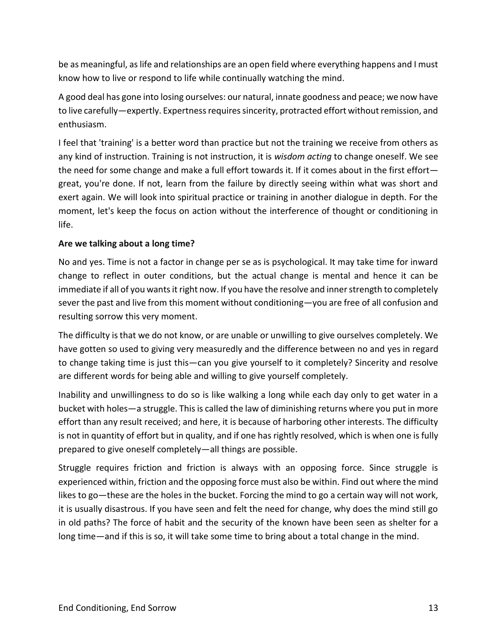be as meaningful, as life and relationships are an open field where everything happens and I must know how to live or respond to life while continually watching the mind.

A good deal has gone into losing ourselves: our natural, innate goodness and peace; we now have to live carefully—expertly. Expertness requires sincerity, protracted effort without remission, and enthusiasm.

I feel that 'training' is a better word than practice but not the training we receive from others as any kind of instruction. Training is not instruction, it is *wisdom acting* to change oneself. We see the need for some change and make a full effort towards it. If it comes about in the first effort great, you're done. If not, learn from the failure by directly seeing within what was short and exert again. We will look into spiritual practice or training in another dialogue in depth. For the moment, let's keep the focus on action without the interference of thought or conditioning in life.

#### **Are we talking about a long time?**

No and yes. Time is not a factor in change per se as is psychological. It may take time for inward change to reflect in outer conditions, but the actual change is mental and hence it can be immediate if all of you wants it right now. If you have the resolve and inner strength to completely sever the past and live from this moment without conditioning—you are free of all confusion and resulting sorrow this very moment.

The difficulty is that we do not know, or are unable or unwilling to give ourselves completely. We have gotten so used to giving very measuredly and the difference between no and yes in regard to change taking time is just this—can you give yourself to it completely? Sincerity and resolve are different words for being able and willing to give yourself completely.

Inability and unwillingness to do so is like walking a long while each day only to get water in a bucket with holes—a struggle. This is called the law of diminishing returns where you put in more effort than any result received; and here, it is because of harboring other interests. The difficulty is not in quantity of effort but in quality, and if one has rightly resolved, which is when one is fully prepared to give oneself completely—all things are possible.

Struggle requires friction and friction is always with an opposing force. Since struggle is experienced within, friction and the opposing force must also be within. Find out where the mind likes to go—these are the holes in the bucket. Forcing the mind to go a certain way will not work, it is usually disastrous. If you have seen and felt the need for change, why does the mind still go in old paths? The force of habit and the security of the known have been seen as shelter for a long time—and if this is so, it will take some time to bring about a total change in the mind.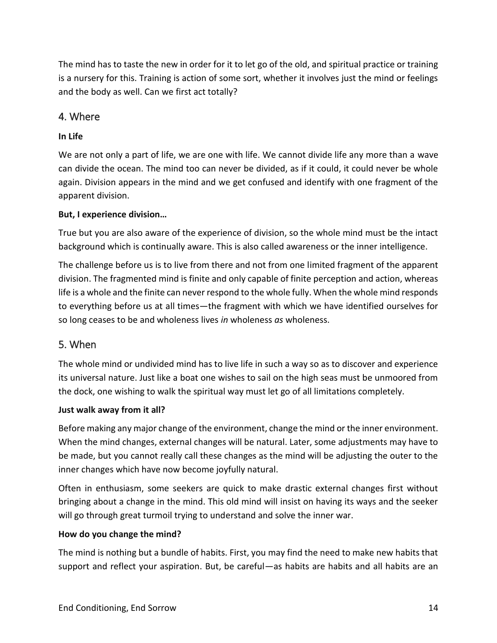The mind has to taste the new in order for it to let go of the old, and spiritual practice or training is a nursery for this. Training is action of some sort, whether it involves just the mind or feelings and the body as well. Can we first act totally?

## 4. Where

## **In Life**

We are not only a part of life, we are one with life. We cannot divide life any more than a wave can divide the ocean. The mind too can never be divided, as if it could, it could never be whole again. Division appears in the mind and we get confused and identify with one fragment of the apparent division.

#### **But, I experience division…**

True but you are also aware of the experience of division, so the whole mind must be the intact background which is continually aware. This is also called awareness or the inner intelligence.

The challenge before us is to live from there and not from one limited fragment of the apparent division. The fragmented mind is finite and only capable of finite perception and action, whereas life is a whole and the finite can never respond to the whole fully. When the whole mind responds to everything before us at all times—the fragment with which we have identified ourselves for so long ceases to be and wholeness lives *in* wholeness *as* wholeness.

## 5. When

The whole mind or undivided mind has to live life in such a way so as to discover and experience its universal nature. Just like a boat one wishes to sail on the high seas must be unmoored from the dock, one wishing to walk the spiritual way must let go of all limitations completely.

#### **Just walk away from it all?**

Before making any major change of the environment, change the mind or the inner environment. When the mind changes, external changes will be natural. Later, some adjustments may have to be made, but you cannot really call these changes as the mind will be adjusting the outer to the inner changes which have now become joyfully natural.

Often in enthusiasm, some seekers are quick to make drastic external changes first without bringing about a change in the mind. This old mind will insist on having its ways and the seeker will go through great turmoil trying to understand and solve the inner war.

#### **How do you change the mind?**

The mind is nothing but a bundle of habits. First, you may find the need to make new habits that support and reflect your aspiration. But, be careful—as habits are habits and all habits are an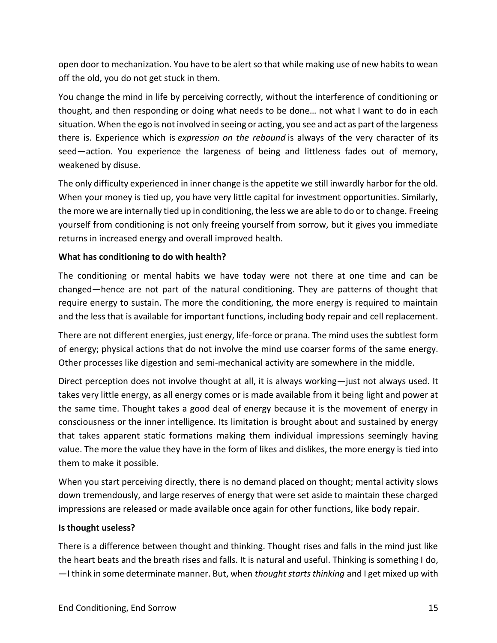open door to mechanization. You have to be alert so that while making use of new habits to wean off the old, you do not get stuck in them.

You change the mind in life by perceiving correctly, without the interference of conditioning or thought, and then responding or doing what needs to be done… not what I want to do in each situation. When the ego is not involved in seeing or acting, you see and act as part of the largeness there is. Experience which is *expression on the rebound* is always of the very character of its seed—action. You experience the largeness of being and littleness fades out of memory, weakened by disuse.

The only difficulty experienced in inner change is the appetite we still inwardly harbor for the old. When your money is tied up, you have very little capital for investment opportunities. Similarly, the more we are internally tied up in conditioning, the less we are able to do or to change. Freeing yourself from conditioning is not only freeing yourself from sorrow, but it gives you immediate returns in increased energy and overall improved health.

#### **What has conditioning to do with health?**

The conditioning or mental habits we have today were not there at one time and can be changed—hence are not part of the natural conditioning. They are patterns of thought that require energy to sustain. The more the conditioning, the more energy is required to maintain and the less that is available for important functions, including body repair and cell replacement.

There are not different energies, just energy, life-force or prana. The mind uses the subtlest form of energy; physical actions that do not involve the mind use coarser forms of the same energy. Other processes like digestion and semi-mechanical activity are somewhere in the middle.

Direct perception does not involve thought at all, it is always working—just not always used. It takes very little energy, as all energy comes or is made available from it being light and power at the same time. Thought takes a good deal of energy because it is the movement of energy in consciousness or the inner intelligence. Its limitation is brought about and sustained by energy that takes apparent static formations making them individual impressions seemingly having value. The more the value they have in the form of likes and dislikes, the more energy is tied into them to make it possible.

When you start perceiving directly, there is no demand placed on thought; mental activity slows down tremendously, and large reserves of energy that were set aside to maintain these charged impressions are released or made available once again for other functions, like body repair.

#### **Is thought useless?**

There is a difference between thought and thinking. Thought rises and falls in the mind just like the heart beats and the breath rises and falls. It is natural and useful. Thinking is something I do, —I think in some determinate manner. But, when *thought starts thinking* and I get mixed up with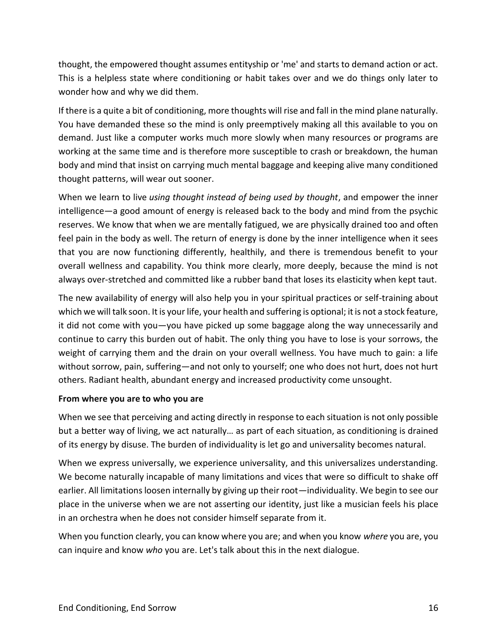thought, the empowered thought assumes entityship or 'me' and starts to demand action or act. This is a helpless state where conditioning or habit takes over and we do things only later to wonder how and why we did them.

If there is a quite a bit of conditioning, more thoughts will rise and fall in the mind plane naturally. You have demanded these so the mind is only preemptively making all this available to you on demand. Just like a computer works much more slowly when many resources or programs are working at the same time and is therefore more susceptible to crash or breakdown, the human body and mind that insist on carrying much mental baggage and keeping alive many conditioned thought patterns, will wear out sooner.

When we learn to live *using thought instead of being used by thought*, and empower the inner intelligence—a good amount of energy is released back to the body and mind from the psychic reserves. We know that when we are mentally fatigued, we are physically drained too and often feel pain in the body as well. The return of energy is done by the inner intelligence when it sees that you are now functioning differently, healthily, and there is tremendous benefit to your overall wellness and capability. You think more clearly, more deeply, because the mind is not always over-stretched and committed like a rubber band that loses its elasticity when kept taut.

The new availability of energy will also help you in your spiritual practices or self-training about which we will talk soon. It is your life, your health and suffering is optional; it is not a stock feature, it did not come with you—you have picked up some baggage along the way unnecessarily and continue to carry this burden out of habit. The only thing you have to lose is your sorrows, the weight of carrying them and the drain on your overall wellness. You have much to gain: a life without sorrow, pain, suffering—and not only to yourself; one who does not hurt, does not hurt others. Radiant health, abundant energy and increased productivity come unsought.

#### **From where you are to who you are**

When we see that perceiving and acting directly in response to each situation is not only possible but a better way of living, we act naturally… as part of each situation, as conditioning is drained of its energy by disuse. The burden of individuality is let go and universality becomes natural.

When we express universally, we experience universality, and this universalizes understanding. We become naturally incapable of many limitations and vices that were so difficult to shake off earlier. All limitations loosen internally by giving up their root—individuality. We begin to see our place in the universe when we are not asserting our identity, just like a musician feels his place in an orchestra when he does not consider himself separate from it.

When you function clearly, you can know where you are; and when you know *where* you are, you can inquire and know *who* you are. Let's talk about this in the next dialogue.